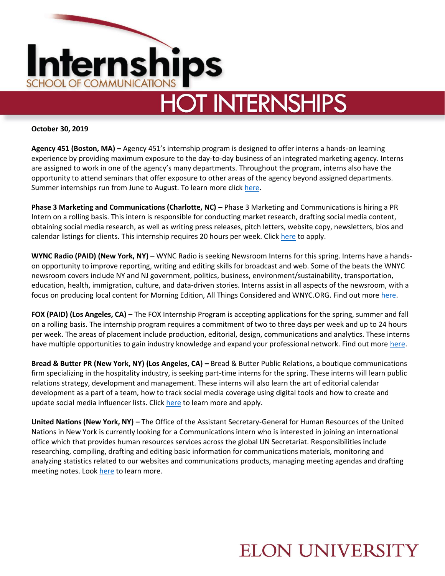

**October 30, 2019**

**Agency 451 (Boston, MA) –** Agency 451's internship program is designed to offer interns a hands-on learning experience by providing maximum exposure to the day-to-day business of an integrated marketing agency. Interns are assigned to work in one of the agency's many departments. Throughout the program, interns also have the opportunity to attend seminars that offer exposure to other areas of the agency beyond assigned departments. Summer internships run from June to August. To learn more clic[k here.](https://451agency.com/about-us/careers/internships)

**Phase 3 Marketing and Communications (Charlotte, NC) – Phase 3 Marketing and Communications is hiring a PR** Intern on a rolling basis. This intern is responsible for conducting market research, drafting social media content, obtaining social media research, as well as writing press releases, pitch letters, website copy, newsletters, bios and calendar listings for clients. This internship requires 20 hours per week. Clic[k here](https://workforcenow.adp.com/mascsr/default/mdf/recruitment/recruitment.html?cid=529952c5-15c7-407e-bb71-5648c3b8e9a1&jobId=227117&lang=en_US&source=CC2&ccId=19000101_000001) to apply.

**WYNC Radio (PAID) (New York, NY) –** WYNC Radio is seeking Newsroom Interns for this spring. Interns have a handson opportunity to improve reporting, writing and editing skills for broadcast and web. Some of the beats the WNYC newsroom covers include NY and NJ government, politics, business, environment/sustainability, transportation, education, health, immigration, culture, and data-driven stories. Interns assist in all aspects of the newsroom, with a focus on producing local content for Morning Edition, All Things Considered and WNYC.ORG. Find out mor[e here.](https://www.linkedin.com/jobs/view/wnyc-newsroom-internship-spring-2020-at-wnyc-radio-1575210054/?utm_campaign=google_jobs_apply&utm_source=google_jobs_apply&utm_medium=organic)

**FOX (PAID) (Los Angeles, CA) –** The FOX Internship Program is accepting applications for the spring, summer and fall on a rolling basis. The internship program requires a commitment of two to three days per week and up to 24 hours per week. The areas of placement include production, editorial, design, communications and analytics. These interns have multiple opportunities to gain industry knowledge and expand your professional network. Find out more [here.](https://www.foxcareers.com/Students)

**Bread & Butter PR (New York, NY) (Los Angeles, CA) –** Bread & Butter Public Relations, a boutique communications firm specializing in the hospitality industry, is seeking part-time interns for the spring. These interns will learn public relations strategy, development and management. These interns will also learn the art of editorial calendar development as a part of a team, how to track social media coverage using digital tools and how to create and update social media influencer lists. Clic[k here](https://breadbutterpr.applytojob.com/apply/aadUf8rp5Y/Digital-Intern-Spring-2020-Multi-States) to learn more and apply.

**United Nations (New York, NY) –** The Office of the Assistant Secretary-General for Human Resources of the United Nations in New York is currently looking for a Communications intern who is interested in joining an international office which that provides human resources services across the global UN Secretariat. Responsibilities include researching, compiling, drafting and editing basic information for communications materials, monitoring and analyzing statistics related to our websites and communications products, managing meeting agendas and drafting meeting notes. Loo[k here](https://careers.un.org/lbw/jobdetail.aspx?id=123482) to learn more.

### **ELON UNIVERSITY**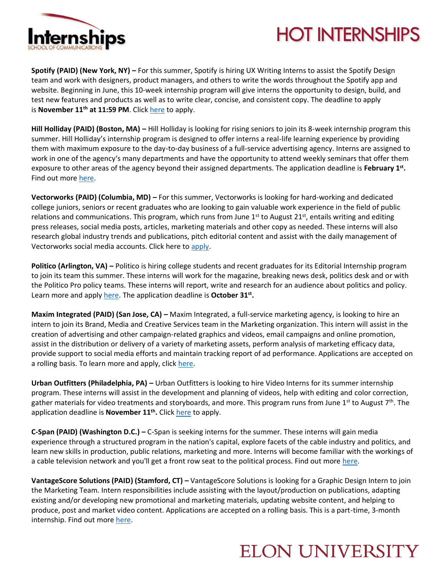

# **HOT INTERNSHIPS**

**Spotify (PAID) (New York, NY) –** For this summer, Spotify is hiring UX Writing Interns to assist the Spotify Design team and work with designers, product managers, and others to write the words throughout the Spotify app and website. Beginning in June, this 10-week internship program will give interns the opportunity to design, build, and test new features and products as well as to write clear, concise, and consistent copy. The deadline to apply is **November 11th at 11:59 PM**. Click [here](https://www.spotifyjobs.com/job/ux-writing-intern-summer-2020/?__jvst=Job%20Board&__jvsd=LinkedInWrapp) to apply.

**Hill Holliday (PAID) (Boston, MA) –** Hill Holliday is looking for rising seniors to join its 8-week internship program this summer. Hill Holliday's internship program is designed to offer interns a real-life learning experience by providing them with maximum exposure to the day-to-day business of a full-service advertising agency. Interns are assigned to work in one of the agency's many departments and have the opportunity to attend weekly seminars that offer them exposure to other areas of the agency beyond their assigned departments. The application deadline is **February 1st .**  Find out more [here.](https://www.linkedin.com/jobs/view/1578771849)

**Vectorworks (PAID) (Columbia, MD) –** For this summer, Vectorworks is looking for hard-working and dedicated college juniors, seniors or recent graduates who are looking to gain valuable work experience in the field of public relations and communications. This program, which runs from June  $1^{st}$  to August 21<sup>st</sup>, entails writing and editing press releases, social media posts, articles, marketing materials and other copy as needed. These interns will also research global industry trends and publications, pitch editorial content and assist with the daily management of Vectorworks social media accounts. Click here to [apply.](https://careers-vectorworks.icims.com/jobs/1563/communications-intern-%28summer-2020%29/job?mobile=false&width=980&height=500&bga=true&needsRedirect=false&jan1offset=-300&jun1offset=-240)

**Politico (Arlington, VA) –** Politico is hiring college students and recent graduates for its Editorial Internship program to join its team this summer. These interns will work for the magazine, breaking news desk, politics desk and or with the Politico Pro policy teams. These interns will report, write and research for an audience about politics and policy. Learn more and apply [here.](https://recruiting.ultipro.com/PER1013PCLL/JobBoard/b972ff6a-41b7-4e97-9c71-273c2595c77d/OpportunityDetail?opportunityId=5c9fa954-a1a3-4c97-9f33-abd73dcb32bd) The application deadline is October 31<sup>st</sup>.

**Maxim Integrated (PAID) (San Jose, CA) –** Maxim Integrated, a full-service marketing agency, is looking to hire an intern to join its Brand, Media and Creative Services team in the Marketing organization. This intern will assist in the creation of advertising and other campaign-related graphics and videos, email campaigns and online promotion, assist in the distribution or delivery of a variety of marketing assets, perform analysis of marketing efficacy data, provide support to social media efforts and maintain tracking report of ad performance. Applications are accepted on a rolling basis. To learn more and apply, click [here.](Assist%20in%20the%20creation%20of%20advertising%20and%20other%20campaign-related%20graphics%20&%20videos,%20email%20campaigns,%20online%20promotion,%20etc.%20Assist%20in%20the%20distribution%20or%20delivery%20of%20a%20variety%20of%20marketing%20assets%20Perform%20analysis%20of%20marketing%20efficacy%20data%20Provide)

**Urban Outfitters (Philadelphia, PA) –** Urban Outfitters is looking to hire Video Interns for its summer internship program. These interns will assist in the development and planning of videos, help with editing and color correction, gather materials for video treatments and storyboards, and more. This program runs from June 1<sup>st</sup> to August 7<sup>th</sup>. The application deadline is **November 11th .** Clic[k here](https://career4.successfactors.com/sfcareer/jobreqcareer?jobId=93291&company=URBN&username=) to apply.

**C-Span (PAID) (Washington D.C.) –** C-Span is seeking interns for the summer. These interns will gain media experience through a structured program in the nation's capital, explore facets of the cable industry and politics, and learn new skills in production, public relations, marketing and more. Interns will become familiar with the workings of a cable television network and you'll get a front row seat to the political process. Find out more [here.](https://cspan.applicantpool.com/jobs/372203.html)

**VantageScore Solutions (PAID) (Stamford, CT) –** VantageScore Solutions is looking for a Graphic Design Intern to join the Marketing Team. Intern responsibilities include assisting with the layout/production on publications, adapting existing and/or developing new promotional and marketing materials, updating website content, and helping to produce, post and market video content. Applications are accepted on a rolling basis. This is a part-time, 3-month internship. Find out mor[e here.](https://www.linkedin.com/jobs/view/1499343905)

#### **ELON UNIVERSITY**